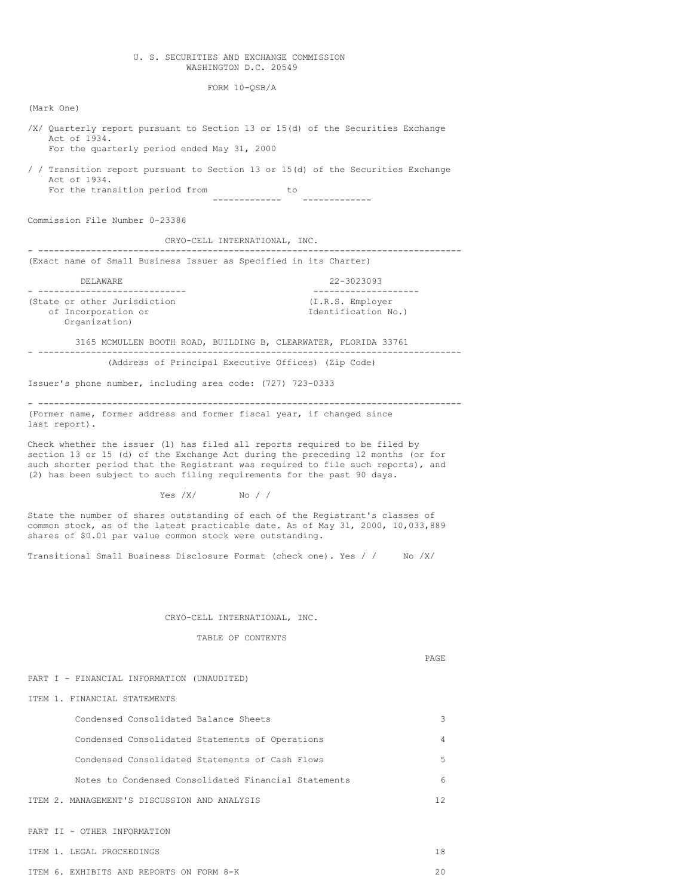# U. S. SECURITIES AND EXCHANGE COMMISSION WASHINGTON D.C. 20549

FORM 10-QSB/A

(Mark One)

/X/ Quarterly report pursuant to Section 13 or 15(d) of the Securities Exchange Act of 1934. For the quarterly period ended May 31, 2000 / / Transition report pursuant to Section 13 or 15(d) of the Securities Exchange Act of 1934. For the transition period from to ------------- ------------- Commission File Number 0-23386 CRYO-CELL INTERNATIONAL, INC. - -------------------------------------------------------------------------------- (Exact name of Small Business Issuer as Specified in its Charter) DELAWARE 22-3023093 - ---------------------------- -------------------- (State or other Jurisdiction of Incorporation or Identification No.) Organization) 3165 MCMULLEN BOOTH ROAD, BUILDING B, CLEARWATER, FLORIDA 33761 - -------------------------------------------------------------------------------- (Address of Principal Executive Offices) (Zip Code) Issuer's phone number, including area code: (727) 723-0333 - -------------------------------------------------------------------------------- (Former name, former address and former fiscal year, if changed since last report). Check whether the issuer (1) has filed all reports required to be filed by section 13 or 15 (d) of the Exchange Act during the preceding 12 months (or for such shorter period that the Registrant was required to file such reports), and (2) has been subject to such filing requirements for the past 90 days. Yes /X/ No / / State the number of shares outstanding of each of the Registrant's classes of common stock, as of the latest practicable date. As of May 31, 2000, 10,033,889 shares of \$0.01 par value common stock were outstanding. Transitional Small Business Disclosure Format (check one). Yes / / No /X/ CRYO-CELL INTERNATIONAL, INC. TABLE OF CONTENTS PAGE PART I - FINANCIAL INFORMATION (UNAUDITED) ITEM 1. FINANCIAL STATEMENTS Condensed Consolidated Balance Sheets 3 Condensed Consolidated Statements of Operations 4 Condensed Consolidated Statements of Cash Flows 5 Notes to Condensed Consolidated Financial Statements 6

ITEM 2. MANAGEMENT'S DISCUSSION AND ANALYSIS 12

PART II - OTHER INFORMATION

# ITEM 1. LEGAL PROCEEDINGS 18

ITEM 6. EXHIBITS AND REPORTS ON FORM 8-K 20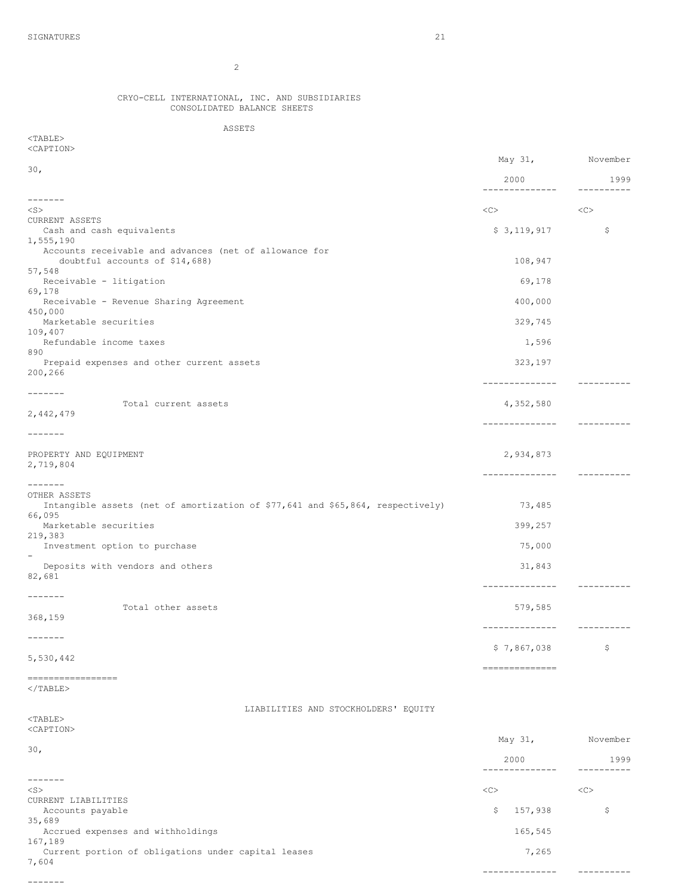7,604

-------

2

#### CRYO-CELL INTERNATIONAL, INC. AND SUBSIDIARIES CONSOLIDATED BALANCE SHEETS

ASSETS

| $<$ TABLE>                                                                     |    |                        |                     |
|--------------------------------------------------------------------------------|----|------------------------|---------------------|
| <caption></caption>                                                            |    |                        | May 31, November    |
| 30 <sub>1</sub>                                                                |    |                        |                     |
|                                                                                |    | 2000<br>-------------- | 1999<br>----------- |
| -------<br>$<$ S $>$                                                           | << |                        | <<                  |
| CURRENT ASSETS                                                                 |    |                        |                     |
| Cash and cash equivalents<br>1,555,190                                         |    | \$3,119,917            | \$                  |
| Accounts receivable and advances (net of allowance for                         |    |                        |                     |
| doubtful accounts of \$14,688)<br>57,548                                       |    | 108,947                |                     |
| Receivable - litigation                                                        |    | 69,178                 |                     |
| 69,178<br>Receivable - Revenue Sharing Agreement                               |    | 400,000                |                     |
| 450,000<br>Marketable securities                                               |    | 329,745                |                     |
| 109,407                                                                        |    |                        |                     |
| Refundable income taxes<br>890                                                 |    | 1,596                  |                     |
| Prepaid expenses and other current assets                                      |    | 323,197                |                     |
| 200,266                                                                        |    | --------------         | -----------         |
| -------                                                                        |    |                        |                     |
| Total current assets<br>2,442,479                                              |    | 4,352,580              |                     |
| -------                                                                        |    | --------------         | -----------         |
|                                                                                |    |                        |                     |
| PROPERTY AND EQUIPMENT<br>2,719,804                                            |    | 2,934,873              |                     |
|                                                                                |    | --------------         | -----------         |
| $- - - - - - -$<br>OTHER ASSETS                                                |    |                        |                     |
| Intangible assets (net of amortization of \$77,641 and \$65,864, respectively) |    | 73,485                 |                     |
| 66,095<br>Marketable securities                                                |    | 399,257                |                     |
| 219,383<br>Investment option to purchase                                       |    | 75,000                 |                     |
| $\qquad \qquad -$                                                              |    |                        |                     |
| Deposits with vendors and others<br>82,681                                     |    | 31,843                 |                     |
|                                                                                |    | --------------         | -----------         |
| -------<br>Total other assets                                                  |    | 579,585                |                     |
| 368,159                                                                        |    | --------------         | $------------$      |
| $-- - - - - - -$                                                               |    |                        |                     |
| 5,530,442                                                                      |    | \$7,867,038            | \$                  |
|                                                                                |    | --------------         |                     |
| =================<br>$\langle$ /TABLE>                                         |    |                        |                     |
|                                                                                |    |                        |                     |
| LIABILITIES AND STOCKHOLDERS' EQUITY<br>$<$ TABLE>                             |    |                        |                     |
| <caption></caption>                                                            |    |                        |                     |
| 30 <sub>1</sub>                                                                |    | May 31,                | November            |
|                                                                                |    | 2000<br>-------------- | 1999<br>----------  |
| -------                                                                        |    |                        |                     |
| $<$ S $>$<br>CURRENT LIABILITIES                                               | << |                        | <<                  |
| Accounts payable                                                               | \$ | 157,938                | \$                  |
| 35,689<br>Accrued expenses and withholdings                                    |    | 165,545                |                     |
| 167,189                                                                        |    |                        |                     |
| Current portion of obligations under capital leases                            |    | 7,265                  |                     |

-------------- ----------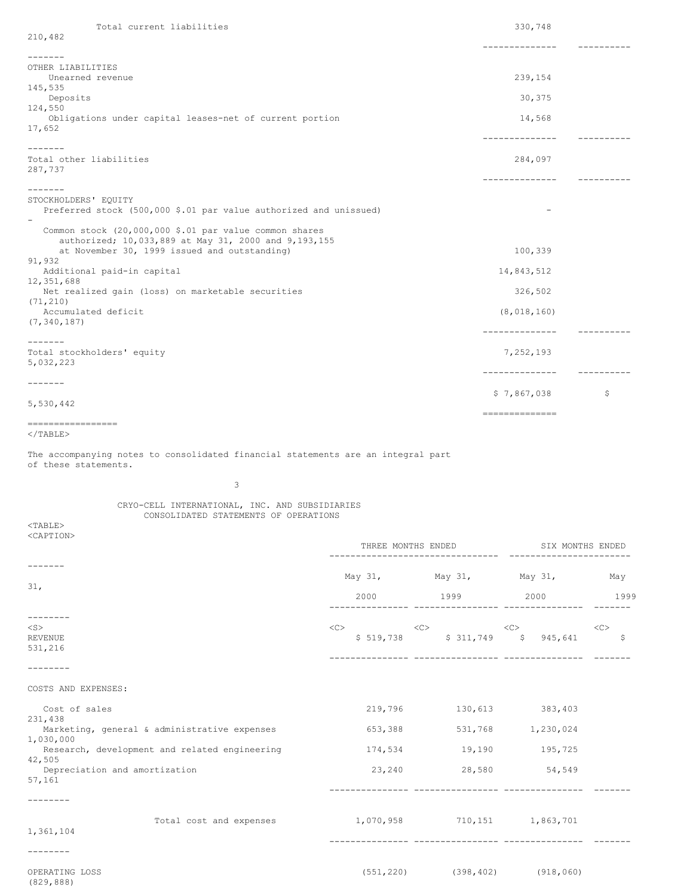| 210,482                                                                                                        |            |
|----------------------------------------------------------------------------------------------------------------|------------|
| ------------                                                                                                   |            |
| $- - - - - - -$                                                                                                |            |
| OTHER LIABILITIES<br>239,154<br>Unearned revenue                                                               |            |
| 145,535                                                                                                        |            |
| 30,375<br>Deposits                                                                                             |            |
| 124,550                                                                                                        |            |
| Obligations under capital leases-net of current portion<br>14,568                                              |            |
| 17,652                                                                                                         |            |
|                                                                                                                |            |
|                                                                                                                |            |
| Total other liabilities<br>284,097                                                                             |            |
| 287,737                                                                                                        |            |
|                                                                                                                | ---------- |
|                                                                                                                |            |
| STOCKHOLDERS' EQUITY                                                                                           |            |
| Preferred stock (500,000 \$.01 par value authorized and unissued)                                              |            |
|                                                                                                                |            |
| Common stock (20,000,000 \$.01 par value common shares<br>authorized; 10,033,889 at May 31, 2000 and 9,193,155 |            |
| at November 30, 1999 issued and outstanding)<br>100,339                                                        |            |
| 91,932                                                                                                         |            |
| 14,843,512<br>Additional paid-in capital                                                                       |            |
| 12,351,688                                                                                                     |            |
| 326,502<br>Net realized gain (loss) on marketable securities                                                   |            |
| (71, 210)                                                                                                      |            |
| Accumulated deficit<br>(8, 018, 160)                                                                           |            |
| (7, 340, 187)                                                                                                  |            |
| --------------                                                                                                 |            |
| $- - - - - - -$                                                                                                |            |
| Total stockholders' equity<br>7,252,193                                                                        |            |
| 5,032,223                                                                                                      |            |
| -------------                                                                                                  |            |
| $- - - - - - -$                                                                                                |            |
| \$7,867,038<br>5,530,442                                                                                       | \$         |
| ==============                                                                                                 |            |
| ==================                                                                                             |            |

 $<$ /TABLE $>$ 

The accompanying notes to consolidated financial statements are an integral part of these statements.

3

# CRYO-CELL INTERNATIONAL, INC. AND SUBSIDIARIES CONSOLIDATED STATEMENTS OF OPERATIONS

<TABLE> <CAPTION>

|                                                                                                                      |                                                     | THREE MONTHS ENDED                                                                                                                                                                                                                                                                                                                                                                                                                      |                   | SIX MONTHS ENDED |  |  |
|----------------------------------------------------------------------------------------------------------------------|-----------------------------------------------------|-----------------------------------------------------------------------------------------------------------------------------------------------------------------------------------------------------------------------------------------------------------------------------------------------------------------------------------------------------------------------------------------------------------------------------------------|-------------------|------------------|--|--|
|                                                                                                                      |                                                     | May 31, May 31, May 31, May 31, May                                                                                                                                                                                                                                                                                                                                                                                                     |                   |                  |  |  |
| 31,                                                                                                                  | 2000                                                | 1999 2000                                                                                                                                                                                                                                                                                                                                                                                                                               |                   | 1999             |  |  |
| --------<br>$<$ S $>$<br><b>REVENUE</b><br>531,216                                                                   |                                                     | $\text{}\qquad \qquad \text{}\qquad \qquad \text{}\qquad \qquad \text{}\qquad \qquad \text{}\qquad \qquad \text{}\qquad \qquad \text{}\qquad \qquad \text{}\qquad \qquad \text{}\qquad \qquad \text{}\qquad \qquad \text{}\qquad \qquad \text{}\qquad \qquad \text{}\qquad \qquad \text{}\qquad \qquad \text{}\qquad \qquad \text{}\qquad \qquad \text{}\qquad \qquad \text{}\qquad \qquad \text{<$<br>\$519,738 \$311,749 \$945,641 \$ |                   |                  |  |  |
| COSTS AND EXPENSES:                                                                                                  |                                                     |                                                                                                                                                                                                                                                                                                                                                                                                                                         |                   |                  |  |  |
| Cost of sales<br>231,438                                                                                             | 219,796                                             |                                                                                                                                                                                                                                                                                                                                                                                                                                         | 130,613 383,403   |                  |  |  |
| Marketing, general & administrative expenses<br>1,030,000<br>Research, development and related engineering<br>42,505 | 653,388                                             | 174,534 19,190 195,725                                                                                                                                                                                                                                                                                                                                                                                                                  | 531,768 1,230,024 |                  |  |  |
| Depreciation and amortization<br>57,161                                                                              |                                                     | 23,240 28,580                                                                                                                                                                                                                                                                                                                                                                                                                           | 54,549            |                  |  |  |
|                                                                                                                      |                                                     |                                                                                                                                                                                                                                                                                                                                                                                                                                         |                   |                  |  |  |
| 1,361,104                                                                                                            | Total cost and expenses 1,070,958 710,151 1,863,701 |                                                                                                                                                                                                                                                                                                                                                                                                                                         |                   |                  |  |  |
|                                                                                                                      |                                                     |                                                                                                                                                                                                                                                                                                                                                                                                                                         |                   |                  |  |  |
| OPERATING LOSS<br>(829, 888)                                                                                         |                                                     | $(551, 220)$ $(398, 402)$ $(918, 060)$                                                                                                                                                                                                                                                                                                                                                                                                  |                   |                  |  |  |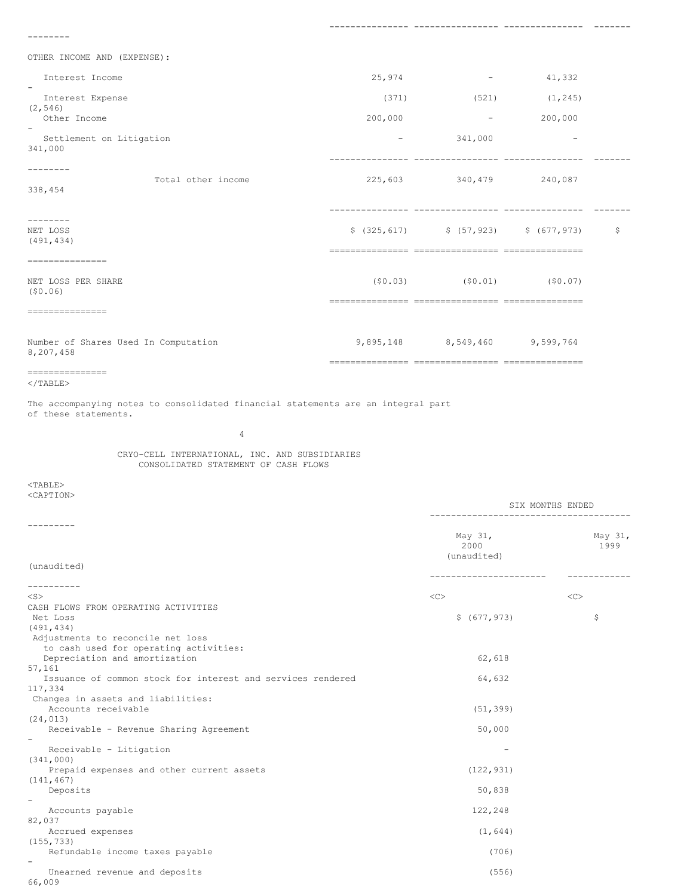--------

OTHER INCOME AND (EXPENSE):

| Interest Income<br>$\overline{\phantom{a}}$<br>Interest Expense<br>(2, 546)<br>Other Income<br>$\overline{\phantom{0}}$<br>Settlement on Litigation<br>341,000 | 25,974<br>(371)<br>200,000<br>$\qquad \qquad -$ | $\overline{\phantom{a}}$<br>(521)<br>$\overline{\phantom{a}}$<br>341,000 | 41,332<br>(1, 245)<br>200,000 |              |
|----------------------------------------------------------------------------------------------------------------------------------------------------------------|-------------------------------------------------|--------------------------------------------------------------------------|-------------------------------|--------------|
| Total other income<br>338,454                                                                                                                                  |                                                 | 225,603 340,479 240,087                                                  |                               |              |
| -------<br>NET LOSS<br>(491, 434)                                                                                                                              |                                                 | $$(325, 617)$ $$(57, 923)$ $$(677, 973)$                                 |                               | $\mathsf{S}$ |
| ---------------<br>NET LOSS PER SHARE<br>(50.06)<br>===============                                                                                            |                                                 | $(50.03)$ $(50.01)$                                                      | (50.07)                       |              |
| Number of Shares Used In Computation<br>8,207,458<br>================                                                                                          |                                                 | 9,895,148 8,549,460 9,599,764                                            |                               |              |

--------------- ---------------- --------------- -------

```
</TABLE>
```
The accompanying notes to consolidated financial statements are an integral part of these statements.

4

CRYO-CELL INTERNATIONAL, INC. AND SUBSIDIARIES CONSOLIDATED STATEMENT OF CASH FLOWS

<TABLE> <CAPTION>

|                                                                             | SIX MONTHS ENDED<br>---------------------------- |                 |
|-----------------------------------------------------------------------------|--------------------------------------------------|-----------------|
| (unaudited)                                                                 | May 31,<br>2000<br>(unaudited)                   | May 31,<br>1999 |
|                                                                             | -----------------                                |                 |
|                                                                             |                                                  |                 |
| $<$ S $>$                                                                   | $<\infty$                                        | $<$ C>          |
| CASH FLOWS FROM OPERATING ACTIVITIES                                        |                                                  |                 |
| Net Loss                                                                    | \$ (677, 973)                                    | \$              |
| (491, 434)                                                                  |                                                  |                 |
| Adjustments to reconcile net loss<br>to cash used for operating activities: |                                                  |                 |
| Depreciation and amortization                                               | 62,618                                           |                 |
| 57,161                                                                      |                                                  |                 |
| Issuance of common stock for interest and services rendered                 | 64,632                                           |                 |
| 117,334                                                                     |                                                  |                 |
| Changes in assets and liabilities:                                          |                                                  |                 |
| Accounts receivable                                                         | (51, 399)                                        |                 |
| (24, 013)                                                                   |                                                  |                 |
| Receivable - Revenue Sharing Agreement                                      | 50,000                                           |                 |
| $\overline{\phantom{a}}$                                                    |                                                  |                 |
| Receivable - Litigation                                                     |                                                  |                 |
| (341, 000)                                                                  |                                                  |                 |
| Prepaid expenses and other current assets                                   | (122, 931)                                       |                 |
| (141, 467)                                                                  |                                                  |                 |
| Deposits                                                                    | 50,838                                           |                 |
| $\overline{\phantom{a}}$<br>Accounts payable                                | 122,248                                          |                 |
| 82,037                                                                      |                                                  |                 |
| Accrued expenses                                                            | (1, 644)                                         |                 |
| (155, 733)                                                                  |                                                  |                 |
| Refundable income taxes payable                                             | (706)                                            |                 |
|                                                                             |                                                  |                 |
| Unearned revenue and deposits                                               | (556)                                            |                 |
| 66,009                                                                      |                                                  |                 |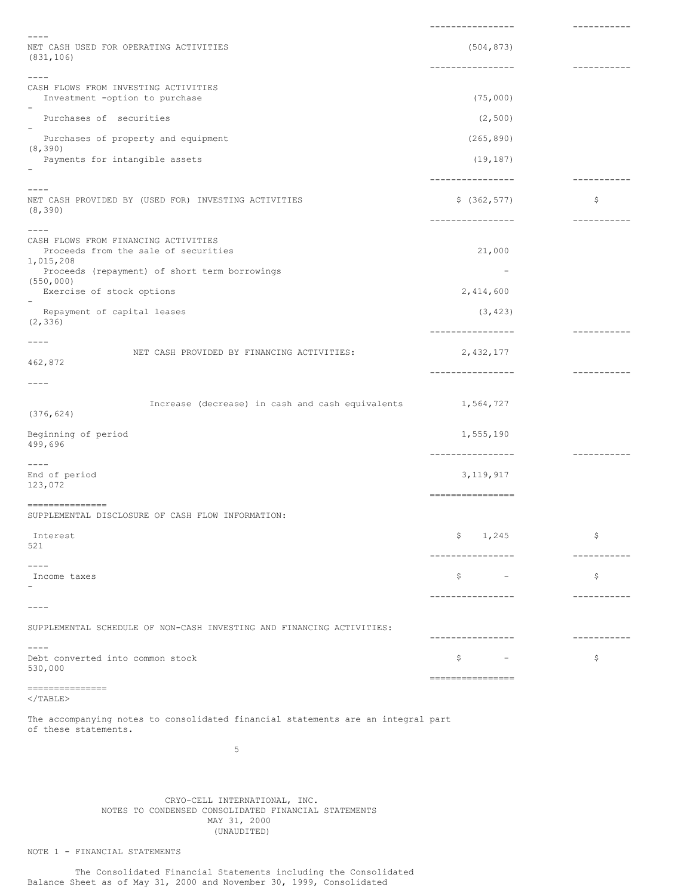|                                                                                                       | ----------------                                   | -----------  |
|-------------------------------------------------------------------------------------------------------|----------------------------------------------------|--------------|
| NET CASH USED FOR OPERATING ACTIVITIES                                                                | (504, 873)                                         |              |
| (831, 106)                                                                                            |                                                    |              |
| $- - - -$                                                                                             | ----------------                                   | -----------  |
| CASH FLOWS FROM INVESTING ACTIVITIES<br>Investment -option to purchase                                | (75,000)                                           |              |
| Purchases of securities                                                                               | (2, 500)                                           |              |
| $\overline{\phantom{a}}$<br>Purchases of property and equipment                                       | (265, 890)                                         |              |
| (8, 390)<br>Payments for intangible assets                                                            | (19, 187)                                          |              |
|                                                                                                       | ----------------                                   | ------------ |
| $---$<br>NET CASH PROVIDED BY (USED FOR) INVESTING ACTIVITIES<br>(8, 390)                             | \$(362, 577)                                       | \$           |
| $- - - -$                                                                                             | ----------------                                   | -----------  |
| CASH FLOWS FROM FINANCING ACTIVITIES<br>Proceeds from the sale of securities                          | 21,000                                             |              |
| 1,015,208<br>Proceeds (repayment) of short term borrowings                                            | $\overline{\phantom{0}}$                           |              |
| (550, 000)<br>Exercise of stock options                                                               | 2,414,600                                          |              |
| Repayment of capital leases<br>(2, 336)                                                               | (3, 423)                                           |              |
| ----                                                                                                  | ----------------                                   | -----------  |
| NET CASH PROVIDED BY FINANCING ACTIVITIES:<br>462,872                                                 | 2,432,177                                          |              |
| ----                                                                                                  | ----------------                                   | -----------  |
| Increase (decrease) in cash and cash equivalents 1,564,727                                            |                                                    |              |
| (376, 624)                                                                                            |                                                    |              |
| Beginning of period<br>499,696                                                                        | 1,555,190<br>----------------                      |              |
| ----<br>End of period                                                                                 | 3, 119, 917                                        | -----------  |
| 123,072                                                                                               | ----------------                                   |              |
| ----------------<br>SUPPLEMENTAL DISCLOSURE OF CASH FLOW INFORMATION:                                 |                                                    |              |
| Interest<br>521                                                                                       | Ş.<br>1,245                                        | \$           |
| $---$                                                                                                 | ________________                                   | -----------  |
| Income taxes                                                                                          | \$<br>$\overline{\phantom{a}}$                     | \$           |
| $---$                                                                                                 | ----------------                                   | -----------  |
| SUPPLEMENTAL SCHEDULE OF NON-CASH INVESTING AND FINANCING ACTIVITIES:                                 | ----------------                                   | -----------  |
| $- - - - -$<br>Debt converted into common stock<br>530,000                                            | \$<br>$\overline{\phantom{a}}$<br>---------------- | \$           |
| ---------------<br>$\langle$ /TABLE>                                                                  |                                                    |              |
| The accompanying notes to consolidated financial statements are an integral part                      |                                                    |              |
| of these statements.                                                                                  |                                                    |              |
| 5                                                                                                     |                                                    |              |
|                                                                                                       |                                                    |              |
|                                                                                                       |                                                    |              |
| CRYO-CELL INTERNATIONAL, INC.<br>NOTES TO CONDENSED CONSOLIDATED FINANCIAL STATEMENTS<br>MAY 31, 2000 |                                                    |              |

(UNAUDITED)

NOTE 1 - FINANCIAL STATEMENTS

The Consolidated Financial Statements including the Consolidated Balance Sheet as of May 31, 2000 and November 30, 1999, Consolidated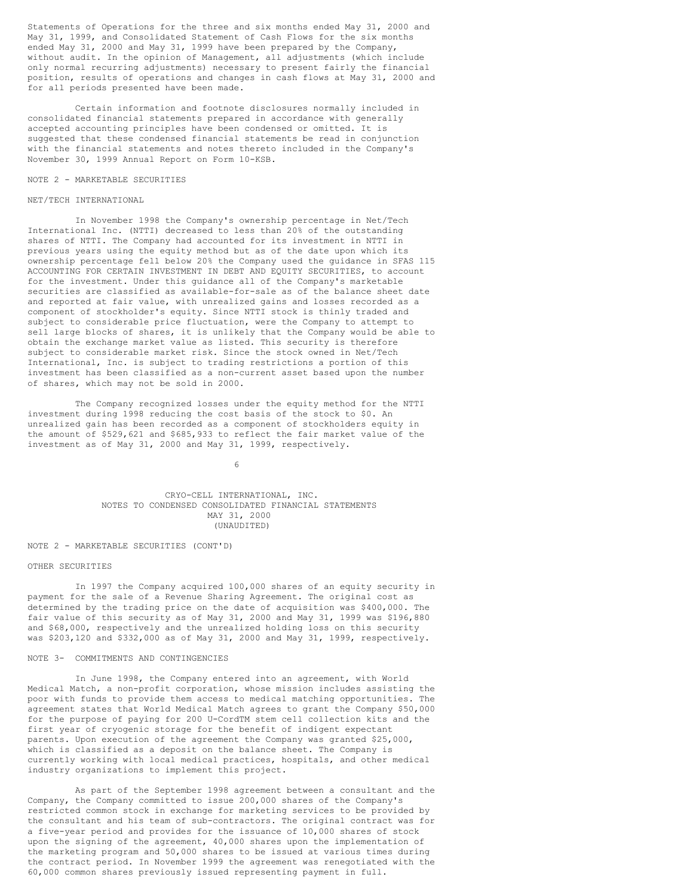Statements of Operations for the three and six months ended May 31, 2000 and May 31, 1999, and Consolidated Statement of Cash Flows for the six months ended May 31, 2000 and May 31, 1999 have been prepared by the Company, without audit. In the opinion of Management, all adjustments (which include only normal recurring adjustments) necessary to present fairly the financial position, results of operations and changes in cash flows at May 31, 2000 and for all periods presented have been made.

Certain information and footnote disclosures normally included in consolidated financial statements prepared in accordance with generally accepted accounting principles have been condensed or omitted. It is suggested that these condensed financial statements be read in conjunction with the financial statements and notes thereto included in the Company's November 30, 1999 Annual Report on Form 10-KSB.

#### NOTE 2 - MARKETABLE SECURITIES

#### NET/TECH INTERNATIONAL

In November 1998 the Company's ownership percentage in Net/Tech International Inc. (NTTI) decreased to less than 20% of the outstanding shares of NTTI. The Company had accounted for its investment in NTTI in previous years using the equity method but as of the date upon which its ownership percentage fell below 20% the Company used the guidance in SFAS 115 ACCOUNTING FOR CERTAIN INVESTMENT IN DEBT AND EQUITY SECURITIES, to account for the investment. Under this guidance all of the Company's marketable securities are classified as available-for-sale as of the balance sheet date and reported at fair value, with unrealized gains and losses recorded as a component of stockholder's equity. Since NTTI stock is thinly traded and subject to considerable price fluctuation, were the Company to attempt to sell large blocks of shares, it is unlikely that the Company would be able to obtain the exchange market value as listed. This security is therefore subject to considerable market risk. Since the stock owned in Net/Tech International, Inc. is subject to trading restrictions a portion of this investment has been classified as a non-current asset based upon the number of shares, which may not be sold in 2000.

The Company recognized losses under the equity method for the NTTI investment during 1998 reducing the cost basis of the stock to \$0. An unrealized gain has been recorded as a component of stockholders equity in the amount of \$529,621 and \$685,933 to reflect the fair market value of the investment as of May 31, 2000 and May 31, 1999, respectively.

6

#### CRYO-CELL INTERNATIONAL, INC. NOTES TO CONDENSED CONSOLIDATED FINANCIAL STATEMENTS MAY 31, 2000 (UNAUDITED)

#### NOTE 2 - MARKETABLE SECURITIES (CONT'D)

#### OTHER SECURITIES

In 1997 the Company acquired 100,000 shares of an equity security in payment for the sale of a Revenue Sharing Agreement. The original cost as determined by the trading price on the date of acquisition was \$400,000. The fair value of this security as of May 31, 2000 and May 31, 1999 was \$196,880 and \$68,000, respectively and the unrealized holding loss on this security was \$203,120 and \$332,000 as of May 31, 2000 and May 31, 1999, respectively.

# NOTE 3- COMMITMENTS AND CONTINGENCIES

In June 1998, the Company entered into an agreement, with World Medical Match, a non-profit corporation, whose mission includes assisting the poor with funds to provide them access to medical matching opportunities. The agreement states that World Medical Match agrees to grant the Company \$50,000 for the purpose of paying for 200 U-CordTM stem cell collection kits and the first year of cryogenic storage for the benefit of indigent expectant parents. Upon execution of the agreement the Company was granted \$25,000, which is classified as a deposit on the balance sheet. The Company is currently working with local medical practices, hospitals, and other medical industry organizations to implement this project.

As part of the September 1998 agreement between a consultant and the Company, the Company committed to issue 200,000 shares of the Company's restricted common stock in exchange for marketing services to be provided by the consultant and his team of sub-contractors. The original contract was for a five-year period and provides for the issuance of 10,000 shares of stock upon the signing of the agreement, 40,000 shares upon the implementation of the marketing program and 50,000 shares to be issued at various times during the contract period. In November 1999 the agreement was renegotiated with the 60,000 common shares previously issued representing payment in full.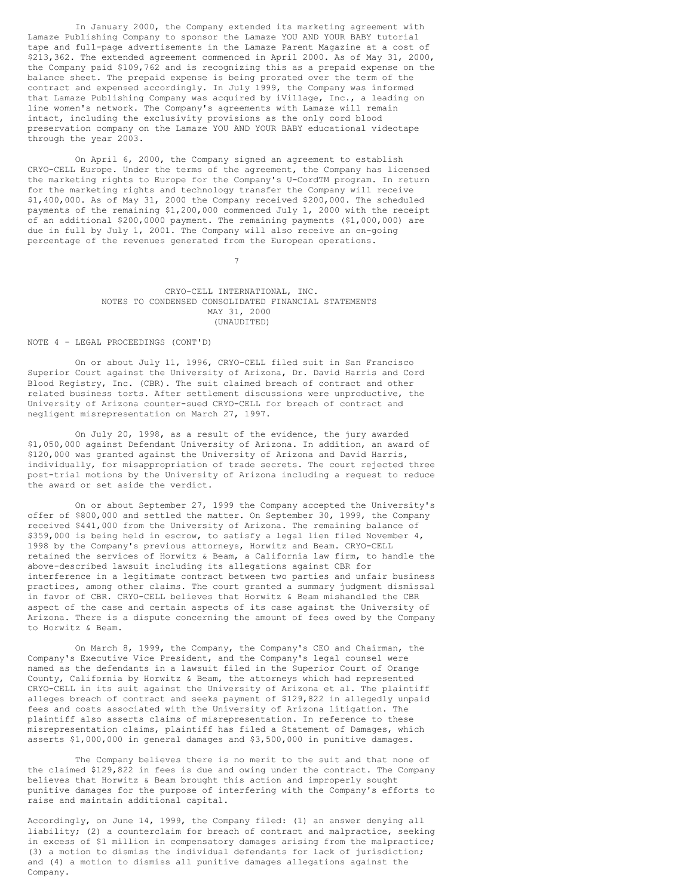In January 2000, the Company extended its marketing agreement with Lamaze Publishing Company to sponsor the Lamaze YOU AND YOUR BABY tutorial tape and full-page advertisements in the Lamaze Parent Magazine at a cost of \$213,362. The extended agreement commenced in April 2000. As of May 31, 2000, the Company paid \$109,762 and is recognizing this as a prepaid expense on the balance sheet. The prepaid expense is being prorated over the term of the contract and expensed accordingly. In July 1999, the Company was informed that Lamaze Publishing Company was acquired by iVillage, Inc., a leading on line women's network. The Company's agreements with Lamaze will remain intact, including the exclusivity provisions as the only cord blood preservation company on the Lamaze YOU AND YOUR BABY educational videotape through the year 2003.

On April 6, 2000, the Company signed an agreement to establish CRYO-CELL Europe. Under the terms of the agreement, the Company has licensed the marketing rights to Europe for the Company's U-CordTM program. In return for the marketing rights and technology transfer the Company will receive \$1,400,000. As of May 31, 2000 the Company received \$200,000. The scheduled payments of the remaining \$1,200,000 commenced July 1, 2000 with the receipt of an additional \$200,0000 payment. The remaining payments (\$1,000,000) are due in full by July 1, 2001. The Company will also receive an on-going percentage of the revenues generated from the European operations.

> CRYO-CELL INTERNATIONAL, INC. NOTES TO CONDENSED CONSOLIDATED FINANCIAL STATEMENTS MAY 31, 2000 (UNAUDITED)

7

#### NOTE 4 - LEGAL PROCEEDINGS (CONT'D)

On or about July 11, 1996, CRYO-CELL filed suit in San Francisco Superior Court against the University of Arizona, Dr. David Harris and Cord Blood Registry, Inc. (CBR). The suit claimed breach of contract and other related business torts. After settlement discussions were unproductive, the University of Arizona counter-sued CRYO-CELL for breach of contract and negligent misrepresentation on March 27, 1997.

On July 20, 1998, as a result of the evidence, the jury awarded \$1,050,000 against Defendant University of Arizona. In addition, an award of \$120,000 was granted against the University of Arizona and David Harris, individually, for misappropriation of trade secrets. The court rejected three post-trial motions by the University of Arizona including a request to reduce the award or set aside the verdict.

On or about September 27, 1999 the Company accepted the University's offer of \$800,000 and settled the matter. On September 30, 1999, the Company received \$441,000 from the University of Arizona. The remaining balance of \$359,000 is being held in escrow, to satisfy a legal lien filed November 4, 1998 by the Company's previous attorneys, Horwitz and Beam. CRYO-CELL retained the services of Horwitz & Beam, a California law firm, to handle the above-described lawsuit including its allegations against CBR for interference in a legitimate contract between two parties and unfair business practices, among other claims. The court granted a summary judgment dismissal in favor of CBR. CRYO-CELL believes that Horwitz & Beam mishandled the CBR aspect of the case and certain aspects of its case against the University of Arizona. There is a dispute concerning the amount of fees owed by the Company to Horwitz & Beam.

On March 8, 1999, the Company, the Company's CEO and Chairman, the Company's Executive Vice President, and the Company's legal counsel were named as the defendants in a lawsuit filed in the Superior Court of Orange County, California by Horwitz & Beam, the attorneys which had represented CRYO-CELL in its suit against the University of Arizona et al. The plaintiff alleges breach of contract and seeks payment of \$129,822 in allegedly unpaid fees and costs associated with the University of Arizona litigation. The plaintiff also asserts claims of misrepresentation. In reference to these misrepresentation claims, plaintiff has filed a Statement of Damages, which asserts \$1,000,000 in general damages and \$3,500,000 in punitive damages.

The Company believes there is no merit to the suit and that none of the claimed \$129,822 in fees is due and owing under the contract. The Company believes that Horwitz & Beam brought this action and improperly sought punitive damages for the purpose of interfering with the Company's efforts to raise and maintain additional capital.

Accordingly, on June 14, 1999, the Company filed: (1) an answer denying all liability; (2) a counterclaim for breach of contract and malpractice, seeking in excess of \$1 million in compensatory damages arising from the malpractice; (3) a motion to dismiss the individual defendants for lack of jurisdiction; and (4) a motion to dismiss all punitive damages allegations against the Company.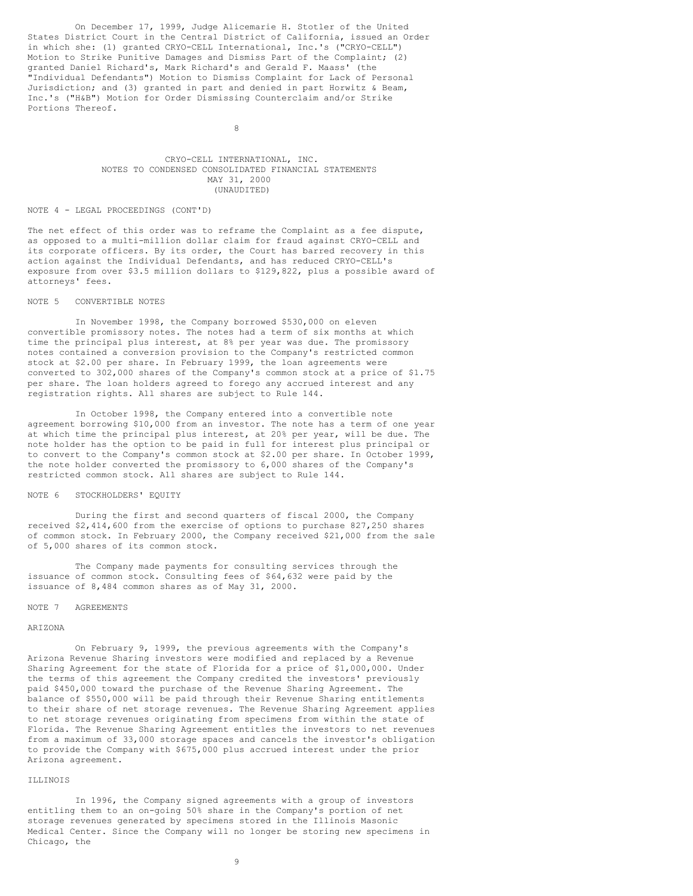On December 17, 1999, Judge Alicemarie H. Stotler of the United States District Court in the Central District of California, issued an Order in which she: (1) granted CRYO-CELL International, Inc.'s ("CRYO-CELL") Motion to Strike Punitive Damages and Dismiss Part of the Complaint; (2) granted Daniel Richard's, Mark Richard's and Gerald F. Maass' (the "Individual Defendants") Motion to Dismiss Complaint for Lack of Personal Jurisdiction; and (3) granted in part and denied in part Horwitz & Beam, Inc.'s ("H&B") Motion for Order Dismissing Counterclaim and/or Strike Portions Thereof.

8

# CRYO-CELL INTERNATIONAL, INC. NOTES TO CONDENSED CONSOLIDATED FINANCIAL STATEMENTS MAY 31, 2000 (UNAUDITED)

#### NOTE 4 - LEGAL PROCEEDINGS (CONT'D)

The net effect of this order was to reframe the Complaint as a fee dispute, as opposed to a multi-million dollar claim for fraud against CRYO-CELL and its corporate officers. By its order, the Court has barred recovery in this action against the Individual Defendants, and has reduced CRYO-CELL's exposure from over \$3.5 million dollars to \$129,822, plus a possible award of attorneys' fees.

#### NOTE 5 CONVERTIBLE NOTES

In November 1998, the Company borrowed \$530,000 on eleven convertible promissory notes. The notes had a term of six months at which time the principal plus interest, at 8% per year was due. The promissory notes contained a conversion provision to the Company's restricted common stock at \$2.00 per share. In February 1999, the loan agreements were converted to 302,000 shares of the Company's common stock at a price of \$1.75 per share. The loan holders agreed to forego any accrued interest and any registration rights. All shares are subject to Rule 144.

In October 1998, the Company entered into a convertible note agreement borrowing \$10,000 from an investor. The note has a term of one year at which time the principal plus interest, at 20% per year, will be due. The note holder has the option to be paid in full for interest plus principal or to convert to the Company's common stock at \$2.00 per share. In October 1999, the note holder converted the promissory to 6,000 shares of the Company's restricted common stock. All shares are subject to Rule 144.

# NOTE 6 STOCKHOLDERS' EQUITY

During the first and second quarters of fiscal 2000, the Company received \$2,414,600 from the exercise of options to purchase 827,250 shares of common stock. In February 2000, the Company received \$21,000 from the sale of 5,000 shares of its common stock.

The Company made payments for consulting services through the issuance of common stock. Consulting fees of \$64,632 were paid by the issuance of 8,484 common shares as of May 31, 2000.

#### NOTE 7 AGREEMENTS

#### ARIZONA

On February 9, 1999, the previous agreements with the Company's Arizona Revenue Sharing investors were modified and replaced by a Revenue Sharing Agreement for the state of Florida for a price of \$1,000,000. Under the terms of this agreement the Company credited the investors' previously paid \$450,000 toward the purchase of the Revenue Sharing Agreement. The balance of \$550,000 will be paid through their Revenue Sharing entitlements to their share of net storage revenues. The Revenue Sharing Agreement applies to net storage revenues originating from specimens from within the state of Florida. The Revenue Sharing Agreement entitles the investors to net revenues from a maximum of 33,000 storage spaces and cancels the investor's obligation to provide the Company with \$675,000 plus accrued interest under the prior Arizona agreement.

#### ILLINOIS

In 1996, the Company signed agreements with a group of investors entitling them to an on-going 50% share in the Company's portion of net storage revenues generated by specimens stored in the Illinois Masonic Medical Center. Since the Company will no longer be storing new specimens in Chicago, the

9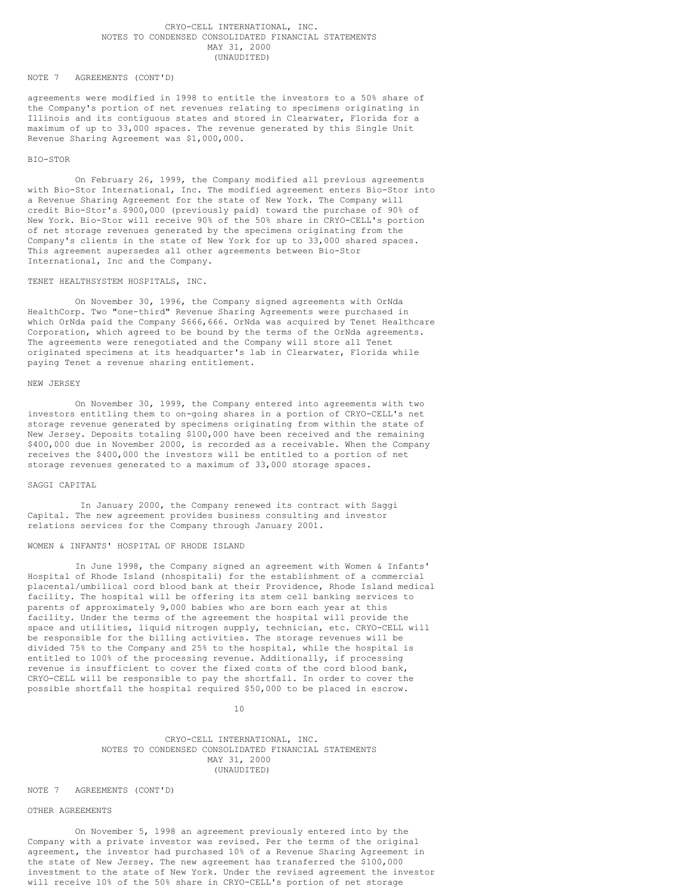# CRYO-CELL INTERNATIONAL, INC. NOTES TO CONDENSED CONSOLIDATED FINANCIAL STATEMENTS MAY 31, 2000 (UNAUDITED)

#### NOTE 7 AGREEMENTS (CONT'D)

agreements were modified in 1998 to entitle the investors to a 50% share of the Company's portion of net revenues relating to specimens originating in Illinois and its contiguous states and stored in Clearwater, Florida for a maximum of up to 33,000 spaces. The revenue generated by this Single Unit Revenue Sharing Agreement was \$1,000,000.

#### BIO-STOR

On February 26, 1999, the Company modified all previous agreements with Bio-Stor International, Inc. The modified agreement enters Bio-Stor into a Revenue Sharing Agreement for the state of New York. The Company will credit Bio-Stor's \$900,000 (previously paid) toward the purchase of 90% of New York. Bio-Stor will receive 90% of the 50% share in CRYO-CELL's portion of net storage revenues generated by the specimens originating from the Company's clients in the state of New York for up to 33,000 shared spaces. This agreement supersedes all other agreements between Bio-Stor International, Inc and the Company.

#### TENET HEALTHSYSTEM HOSPITALS, INC.

On November 30, 1996, the Company signed agreements with OrNda HealthCorp. Two "one-third" Revenue Sharing Agreements were purchased in which OrNda paid the Company \$666,666. OrNda was acquired by Tenet Healthcare Corporation, which agreed to be bound by the terms of the OrNda agreements. The agreements were renegotiated and the Company will store all Tenet originated specimens at its headquarter's lab in Clearwater, Florida while paying Tenet a revenue sharing entitlement.

#### NEW JERSEY

On November 30, 1999, the Company entered into agreements with two investors entitling them to on-going shares in a portion of CRYO-CELL's net storage revenue generated by specimens originating from within the state of New Jersey. Deposits totaling \$100,000 have been received and the remaining \$400,000 due in November 2000, is recorded as a receivable. When the Company receives the \$400,000 the investors will be entitled to a portion of net storage revenues generated to a maximum of 33,000 storage spaces.

# SAGGI CAPITAL

In January 2000, the Company renewed its contract with Saggi Capital. The new agreement provides business consulting and investor relations services for the Company through January 2001.

#### WOMEN & INFANTS' HOSPITAL OF RHODE ISLAND

In June 1998, the Company signed an agreement with Women & Infants' Hospital of Rhode Island (nhospitali) for the establishment of a commercial placental/umbilical cord blood bank at their Providence, Rhode Island medical facility. The hospital will be offering its stem cell banking services to parents of approximately 9,000 babies who are born each year at this facility. Under the terms of the agreement the hospital will provide the space and utilities, liquid nitrogen supply, technician, etc. CRYO-CELL will be responsible for the billing activities. The storage revenues will be divided 75% to the Company and 25% to the hospital, while the hospital is entitled to 100% of the processing revenue. Additionally, if processing revenue is insufficient to cover the fixed costs of the cord blood bank, CRYO-CELL will be responsible to pay the shortfall. In order to cover the possible shortfall the hospital required \$50,000 to be placed in escrow.

10

# CRYO-CELL INTERNATIONAL, INC. NOTES TO CONDENSED CONSOLIDATED FINANCIAL STATEMENTS MAY 31, 2000 (UNAUDITED)

#### NOTE 7 AGREEMENTS (CONT'D)

#### OTHER AGREEMENTS

On November 5, 1998 an agreement previously entered into by the Company with a private investor was revised. Per the terms of the original agreement, the investor had purchased 10% of a Revenue Sharing Agreement in the state of New Jersey. The new agreement has transferred the \$100,000 investment to the state of New York. Under the revised agreement the investor will receive 10% of the 50% share in CRYO-CELL's portion of net storage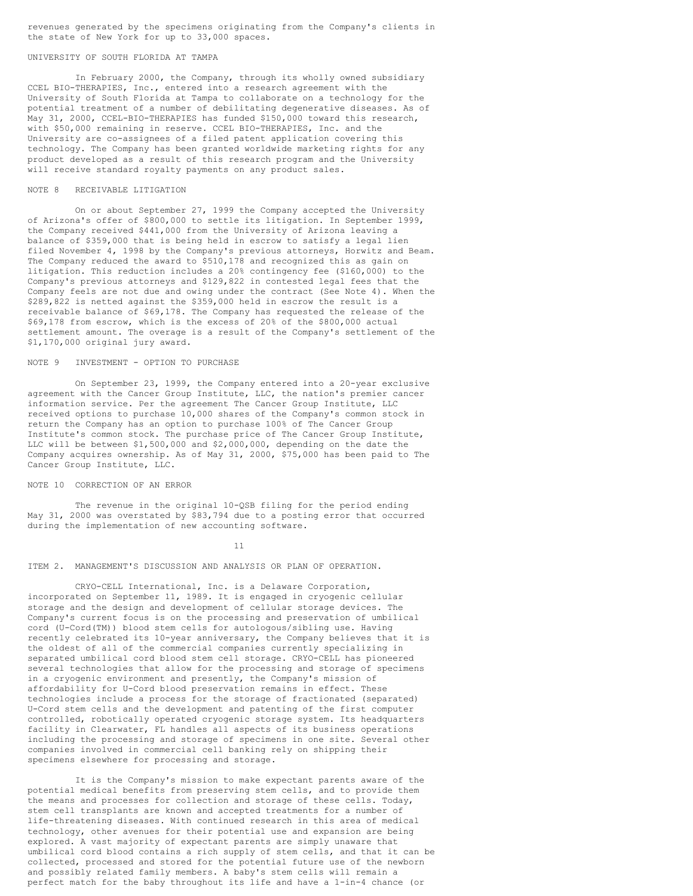revenues generated by the specimens originating from the Company's clients in the state of New York for up to 33,000 spaces.

# UNIVERSITY OF SOUTH FLORIDA AT TAMPA

In February 2000, the Company, through its wholly owned subsidiary CCEL BIO-THERAPIES, Inc., entered into a research agreement with the University of South Florida at Tampa to collaborate on a technology for the potential treatment of a number of debilitating degenerative diseases. As of May 31, 2000, CCEL-BIO-THERAPIES has funded \$150,000 toward this research, with \$50,000 remaining in reserve. CCEL BIO-THERAPIES, Inc. and the University are co-assignees of a filed patent application covering this technology. The Company has been granted worldwide marketing rights for any product developed as a result of this research program and the University will receive standard royalty payments on any product sales.

#### NOTE 8 RECEIVABLE LITIGATION

On or about September 27, 1999 the Company accepted the University of Arizona's offer of \$800,000 to settle its litigation. In September 1999, the Company received \$441,000 from the University of Arizona leaving a balance of \$359,000 that is being held in escrow to satisfy a legal lien filed November 4, 1998 by the Company's previous attorneys, Horwitz and Beam. The Company reduced the award to \$510,178 and recognized this as gain on litigation. This reduction includes a 20% contingency fee (\$160,000) to the Company's previous attorneys and \$129,822 in contested legal fees that the Company feels are not due and owing under the contract (See Note 4). When the \$289,822 is netted against the \$359,000 held in escrow the result is a receivable balance of \$69,178. The Company has requested the release of the \$69,178 from escrow, which is the excess of 20% of the \$800,000 actual settlement amount. The overage is a result of the Company's settlement of the \$1,170,000 original jury award.

#### NOTE 9 INVESTMENT - OPTION TO PURCHASE

On September 23, 1999, the Company entered into a 20-year exclusive agreement with the Cancer Group Institute, LLC, the nation's premier cancer information service. Per the agreement The Cancer Group Institute, LLC received options to purchase 10,000 shares of the Company's common stock in return the Company has an option to purchase 100% of The Cancer Group Institute's common stock. The purchase price of The Cancer Group Institute, LLC will be between \$1,500,000 and \$2,000,000, depending on the date the Company acquires ownership. As of May 31, 2000, \$75,000 has been paid to The Cancer Group Institute, LLC.

# NOTE 10 CORRECTION OF AN ERROR

The revenue in the original 10-QSB filing for the period ending May 31, 2000 was overstated by \$83,794 due to a posting error that occurred during the implementation of new accounting software.

11

# ITEM 2. MANAGEMENT'S DISCUSSION AND ANALYSIS OR PLAN OF OPERATION.

CRYO-CELL International, Inc. is a Delaware Corporation, incorporated on September 11, 1989. It is engaged in cryogenic cellular storage and the design and development of cellular storage devices. The Company's current focus is on the processing and preservation of umbilical cord (U-Cord(TM)) blood stem cells for autologous/sibling use. Having recently celebrated its 10-year anniversary, the Company believes that it is the oldest of all of the commercial companies currently specializing in separated umbilical cord blood stem cell storage. CRYO-CELL has pioneered several technologies that allow for the processing and storage of specimens in a cryogenic environment and presently, the Company's mission of affordability for U-Cord blood preservation remains in effect. These technologies include a process for the storage of fractionated (separated) U-Cord stem cells and the development and patenting of the first computer controlled, robotically operated cryogenic storage system. Its headquarters facility in Clearwater, FL handles all aspects of its business operations including the processing and storage of specimens in one site. Several other companies involved in commercial cell banking rely on shipping their specimens elsewhere for processing and storage.

It is the Company's mission to make expectant parents aware of the potential medical benefits from preserving stem cells, and to provide them the means and processes for collection and storage of these cells. Today, stem cell transplants are known and accepted treatments for a number of life-threatening diseases. With continued research in this area of medical technology, other avenues for their potential use and expansion are being explored. A vast majority of expectant parents are simply unaware that umbilical cord blood contains a rich supply of stem cells, and that it can be collected, processed and stored for the potential future use of the newborn and possibly related family members. A baby's stem cells will remain a perfect match for the baby throughout its life and have a 1-in-4 chance (or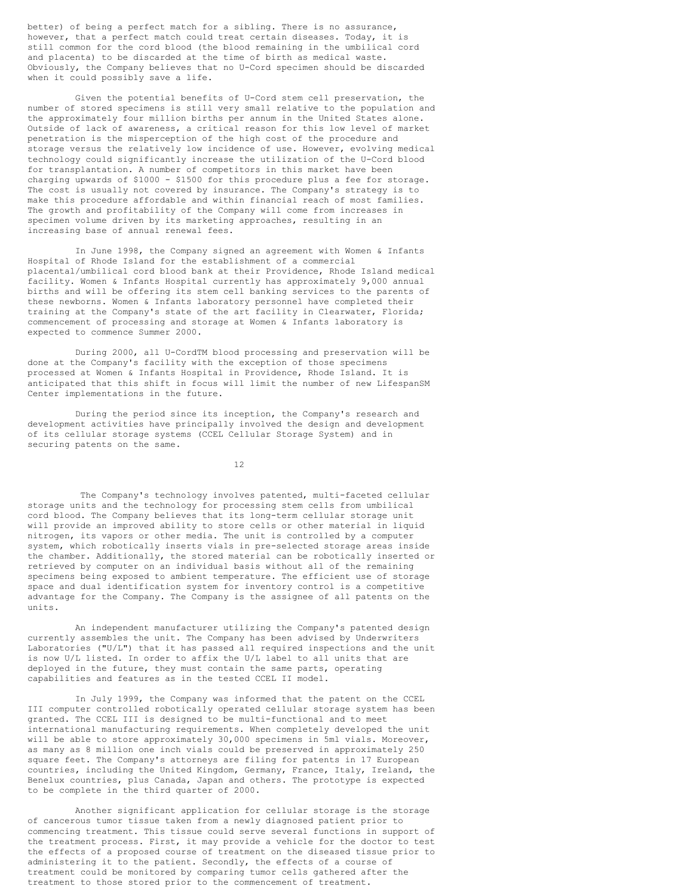better) of being a perfect match for a sibling. There is no assurance, however, that a perfect match could treat certain diseases. Today, it is still common for the cord blood (the blood remaining in the umbilical cord and placenta) to be discarded at the time of birth as medical waste. Obviously, the Company believes that no U-Cord specimen should be discarded when it could possibly save a life.

Given the potential benefits of U-Cord stem cell preservation, the number of stored specimens is still very small relative to the population and the approximately four million births per annum in the United States alone. Outside of lack of awareness, a critical reason for this low level of market penetration is the misperception of the high cost of the procedure and storage versus the relatively low incidence of use. However, evolving medical technology could significantly increase the utilization of the U-Cord blood for transplantation. A number of competitors in this market have been charging upwards of \$1000 - \$1500 for this procedure plus a fee for storage. The cost is usually not covered by insurance. The Company's strategy is to make this procedure affordable and within financial reach of most families. The growth and profitability of the Company will come from increases in specimen volume driven by its marketing approaches, resulting in an increasing base of annual renewal fees.

In June 1998, the Company signed an agreement with Women & Infants Hospital of Rhode Island for the establishment of a commercial placental/umbilical cord blood bank at their Providence, Rhode Island medical facility. Women & Infants Hospital currently has approximately 9,000 annual births and will be offering its stem cell banking services to the parents of these newborns. Women & Infants laboratory personnel have completed their training at the Company's state of the art facility in Clearwater, Florida; commencement of processing and storage at Women & Infants laboratory is expected to commence Summer 2000.

During 2000, all U-CordTM blood processing and preservation will be done at the Company's facility with the exception of those specimens processed at Women & Infants Hospital in Providence, Rhode Island. It is anticipated that this shift in focus will limit the number of new LifespanSM Center implementations in the future.

During the period since its inception, the Company's research and development activities have principally involved the design and development of its cellular storage systems (CCEL Cellular Storage System) and in securing patents on the same.

12

The Company's technology involves patented, multi-faceted cellular storage units and the technology for processing stem cells from umbilical cord blood. The Company believes that its long-term cellular storage unit will provide an improved ability to store cells or other material in liquid nitrogen, its vapors or other media. The unit is controlled by a computer system, which robotically inserts vials in pre-selected storage areas inside the chamber. Additionally, the stored material can be robotically inserted or retrieved by computer on an individual basis without all of the remaining specimens being exposed to ambient temperature. The efficient use of storage space and dual identification system for inventory control is a competitive advantage for the Company. The Company is the assignee of all patents on the units.

An independent manufacturer utilizing the Company's patented design currently assembles the unit. The Company has been advised by Underwriters Laboratories ("U/L") that it has passed all required inspections and the unit is now U/L listed. In order to affix the U/L label to all units that are deployed in the future, they must contain the same parts, operating capabilities and features as in the tested CCEL II model.

In July 1999, the Company was informed that the patent on the CCEL III computer controlled robotically operated cellular storage system has been granted. The CCEL III is designed to be multi-functional and to meet international manufacturing requirements. When completely developed the unit will be able to store approximately 30,000 specimens in 5ml vials. Moreover, as many as 8 million one inch vials could be preserved in approximately 250 square feet. The Company's attorneys are filing for patents in 17 European countries, including the United Kingdom, Germany, France, Italy, Ireland, the Benelux countries, plus Canada, Japan and others. The prototype is expected to be complete in the third quarter of 2000.

Another significant application for cellular storage is the storage of cancerous tumor tissue taken from a newly diagnosed patient prior to commencing treatment. This tissue could serve several functions in support of the treatment process. First, it may provide a vehicle for the doctor to test the effects of a proposed course of treatment on the diseased tissue prior to administering it to the patient. Secondly, the effects of a course of treatment could be monitored by comparing tumor cells gathered after the treatment to those stored prior to the commencement of treatment.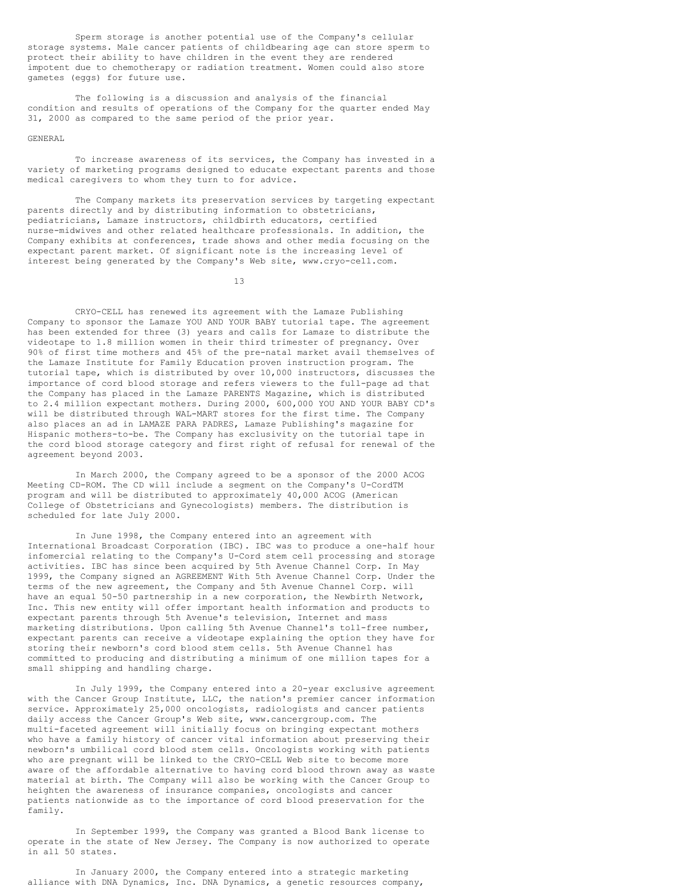Sperm storage is another potential use of the Company's cellular storage systems. Male cancer patients of childbearing age can store sperm to protect their ability to have children in the event they are rendered impotent due to chemotherapy or radiation treatment. Women could also store gametes (eggs) for future use.

The following is a discussion and analysis of the financial condition and results of operations of the Company for the quarter ended May 31, 2000 as compared to the same period of the prior year.

#### GENERAL

To increase awareness of its services, the Company has invested in a variety of marketing programs designed to educate expectant parents and those medical caregivers to whom they turn to for advice.

The Company markets its preservation services by targeting expectant parents directly and by distributing information to obstetricians, pediatricians, Lamaze instructors, childbirth educators, certified nurse-midwives and other related healthcare professionals. In addition, the Company exhibits at conferences, trade shows and other media focusing on the expectant parent market. Of significant note is the increasing level of interest being generated by the Company's Web site, www.cryo-cell.com.

13

CRYO-CELL has renewed its agreement with the Lamaze Publishing Company to sponsor the Lamaze YOU AND YOUR BABY tutorial tape. The agreement has been extended for three (3) years and calls for Lamaze to distribute the videotape to 1.8 million women in their third trimester of pregnancy. Over 90% of first time mothers and 45% of the pre-natal market avail themselves of the Lamaze Institute for Family Education proven instruction program. The tutorial tape, which is distributed by over 10,000 instructors, discusses the importance of cord blood storage and refers viewers to the full-page ad that the Company has placed in the Lamaze PARENTS Magazine, which is distributed to 2.4 million expectant mothers. During 2000, 600,000 YOU AND YOUR BABY CD's will be distributed through WAL-MART stores for the first time. The Company also places an ad in LAMAZE PARA PADRES, Lamaze Publishing's magazine for Hispanic mothers-to-be. The Company has exclusivity on the tutorial tape in the cord blood storage category and first right of refusal for renewal of the agreement beyond 2003.

In March 2000, the Company agreed to be a sponsor of the 2000 ACOG Meeting CD-ROM. The CD will include a segment on the Company's U-CordTM program and will be distributed to approximately 40,000 ACOG (American College of Obstetricians and Gynecologists) members. The distribution is scheduled for late July 2000.

In June 1998, the Company entered into an agreement with International Broadcast Corporation (IBC). IBC was to produce a one-half hour infomercial relating to the Company's U-Cord stem cell processing and storage activities. IBC has since been acquired by 5th Avenue Channel Corp. In May 1999, the Company signed an AGREEMENT With 5th Avenue Channel Corp. Under the terms of the new agreement, the Company and 5th Avenue Channel Corp. will have an equal 50-50 partnership in a new corporation, the Newbirth Network, Inc. This new entity will offer important health information and products to expectant parents through 5th Avenue's television, Internet and mass marketing distributions. Upon calling 5th Avenue Channel's toll-free number, expectant parents can receive a videotape explaining the option they have for storing their newborn's cord blood stem cells. 5th Avenue Channel has committed to producing and distributing a minimum of one million tapes for a small shipping and handling charge.

In July 1999, the Company entered into a 20-year exclusive agreement with the Cancer Group Institute, LLC, the nation's premier cancer information service. Approximately 25,000 oncologists, radiologists and cancer patients daily access the Cancer Group's Web site, www.cancergroup.com. The multi-faceted agreement will initially focus on bringing expectant mothers who have a family history of cancer vital information about preserving their newborn's umbilical cord blood stem cells. Oncologists working with patients who are pregnant will be linked to the CRYO-CELL Web site to become more aware of the affordable alternative to having cord blood thrown away as waste material at birth. The Company will also be working with the Cancer Group to heighten the awareness of insurance companies, oncologists and cancer patients nationwide as to the importance of cord blood preservation for the family.

In September 1999, the Company was granted a Blood Bank license to operate in the state of New Jersey. The Company is now authorized to operate in all 50 states.

In January 2000, the Company entered into a strategic marketing alliance with DNA Dynamics, Inc. DNA Dynamics, a genetic resources company,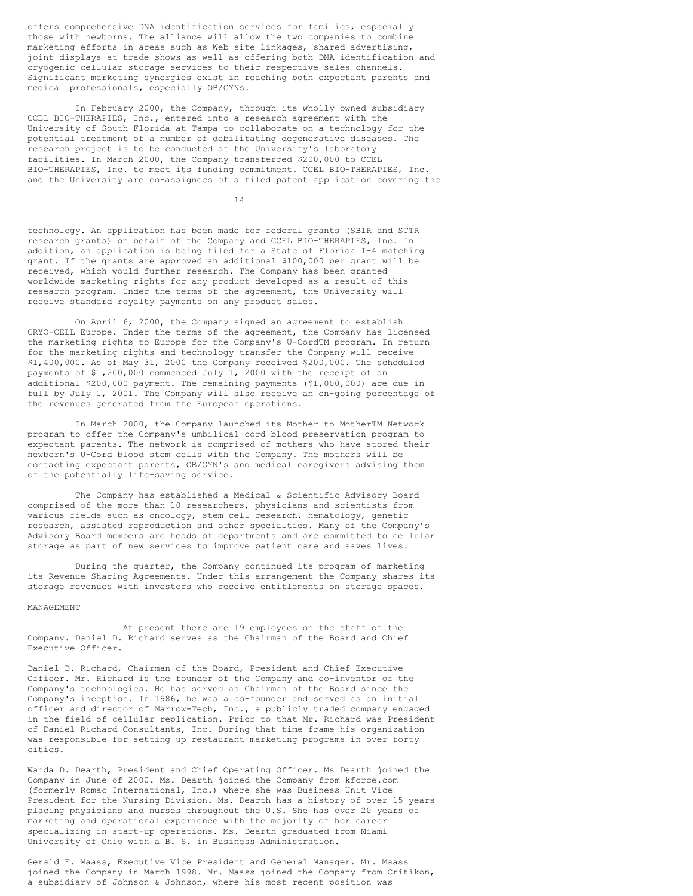offers comprehensive DNA identification services for families, especially those with newborns. The alliance will allow the two companies to combine marketing efforts in areas such as Web site linkages, shared advertising, joint displays at trade shows as well as offering both DNA identification and cryogenic cellular storage services to their respective sales channels. Significant marketing synergies exist in reaching both expectant parents and medical professionals, especially OB/GYNs.

In February 2000, the Company, through its wholly owned subsidiary CCEL BIO-THERAPIES, Inc., entered into a research agreement with the University of South Florida at Tampa to collaborate on a technology for the potential treatment of a number of debilitating degenerative diseases. The research project is to be conducted at the University's laboratory facilities. In March 2000, the Company transferred \$200,000 to CCEL BIO-THERAPIES, Inc. to meet its funding commitment. CCEL BIO-THERAPIES, Inc. and the University are co-assignees of a filed patent application covering the

14

technology. An application has been made for federal grants (SBIR and STTR research grants) on behalf of the Company and CCEL BIO-THERAPIES, Inc. In addition, an application is being filed for a State of Florida I-4 matching grant. If the grants are approved an additional \$100,000 per grant will be received, which would further research. The Company has been granted worldwide marketing rights for any product developed as a result of this research program. Under the terms of the agreement, the University will receive standard royalty payments on any product sales.

On April 6, 2000, the Company signed an agreement to establish CRYO-CELL Europe. Under the terms of the agreement, the Company has licensed the marketing rights to Europe for the Company's U-CordTM program. In return for the marketing rights and technology transfer the Company will receive \$1,400,000. As of May 31, 2000 the Company received \$200,000. The scheduled payments of \$1,200,000 commenced July 1, 2000 with the receipt of an additional \$200,000 payment. The remaining payments (\$1,000,000) are due in full by July 1, 2001. The Company will also receive an on-going percentage of the revenues generated from the European operations.

In March 2000, the Company launched its Mother to MotherTM Network program to offer the Company's umbilical cord blood preservation program to expectant parents. The network is comprised of mothers who have stored their newborn's U-Cord blood stem cells with the Company. The mothers will be contacting expectant parents, OB/GYN's and medical caregivers advising them of the potentially life-saving service.

The Company has established a Medical & Scientific Advisory Board comprised of the more than 10 researchers, physicians and scientists from various fields such as oncology, stem cell research, hematology, genetic research, assisted reproduction and other specialties. Many of the Company's Advisory Board members are heads of departments and are committed to cellular storage as part of new services to improve patient care and saves lives.

During the quarter, the Company continued its program of marketing its Revenue Sharing Agreements. Under this arrangement the Company shares its storage revenues with investors who receive entitlements on storage spaces.

# MANAGEMENT

At present there are 19 employees on the staff of the Company. Daniel D. Richard serves as the Chairman of the Board and Chief Executive Officer.

Daniel D. Richard, Chairman of the Board, President and Chief Executive Officer. Mr. Richard is the founder of the Company and co-inventor of the Company's technologies. He has served as Chairman of the Board since the Company's inception. In 1986, he was a co-founder and served as an initial officer and director of Marrow-Tech, Inc., a publicly traded company engaged in the field of cellular replication. Prior to that Mr. Richard was President of Daniel Richard Consultants, Inc. During that time frame his organization was responsible for setting up restaurant marketing programs in over forty cities.

Wanda D. Dearth, President and Chief Operating Officer. Ms Dearth joined the Company in June of 2000. Ms. Dearth joined the Company from kforce.com (formerly Romac International, Inc.) where she was Business Unit Vice President for the Nursing Division. Ms. Dearth has a history of over 15 years placing physicians and nurses throughout the U.S. She has over 20 years of marketing and operational experience with the majority of her career specializing in start-up operations. Ms. Dearth graduated from Miami University of Ohio with a B. S. in Business Administration.

Gerald F. Maass, Executive Vice President and General Manager. Mr. Maass joined the Company in March 1998. Mr. Maass joined the Company from Critikon, a subsidiary of Johnson & Johnson, where his most recent position was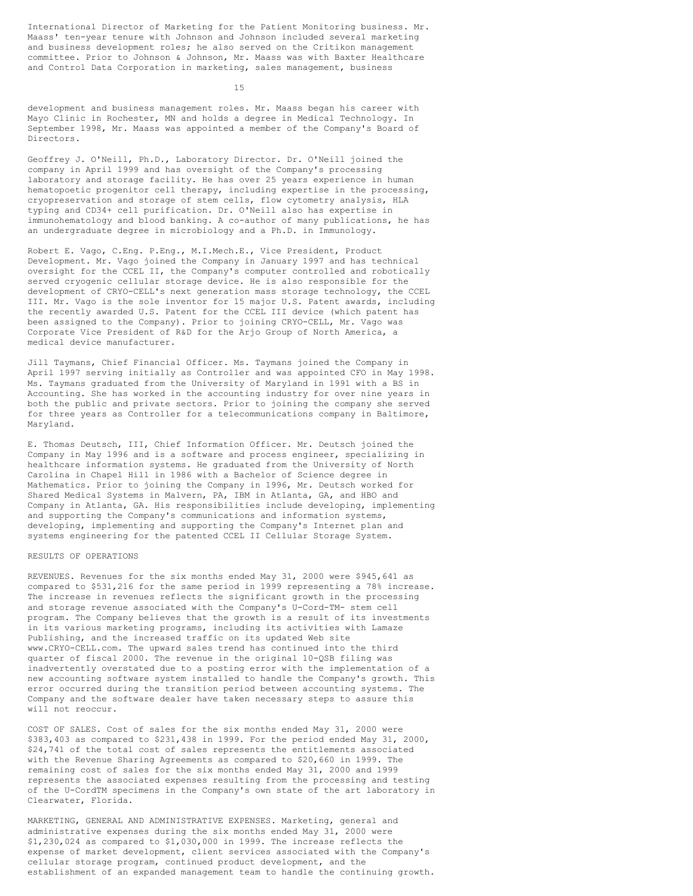International Director of Marketing for the Patient Monitoring business. Mr. Maass' ten-year tenure with Johnson and Johnson included several marketing and business development roles; he also served on the Critikon management committee. Prior to Johnson & Johnson, Mr. Maass was with Baxter Healthcare and Control Data Corporation in marketing, sales management, business

15

development and business management roles. Mr. Maass began his career with Mayo Clinic in Rochester, MN and holds a degree in Medical Technology. In September 1998, Mr. Maass was appointed a member of the Company's Board of Directors.

Geoffrey J. O'Neill, Ph.D., Laboratory Director. Dr. O'Neill joined the company in April 1999 and has oversight of the Company's processing laboratory and storage facility. He has over 25 years experience in human hematopoetic progenitor cell therapy, including expertise in the processing, cryopreservation and storage of stem cells, flow cytometry analysis, HLA typing and CD34+ cell purification. Dr. O'Neill also has expertise in immunohematology and blood banking. A co-author of many publications, he has an undergraduate degree in microbiology and a Ph.D. in Immunology.

Robert E. Vago, C.Eng. P.Eng., M.I.Mech.E., Vice President, Product Development. Mr. Vago joined the Company in January 1997 and has technical oversight for the CCEL II, the Company's computer controlled and robotically served cryogenic cellular storage device. He is also responsible for the development of CRYO-CELL's next generation mass storage technology, the CCEL III. Mr. Vago is the sole inventor for 15 major U.S. Patent awards, including the recently awarded U.S. Patent for the CCEL III device (which patent has been assigned to the Company). Prior to joining CRYO-CELL, Mr. Vago was Corporate Vice President of R&D for the Arjo Group of North America, a medical device manufacturer.

Jill Taymans, Chief Financial Officer. Ms. Taymans joined the Company in April 1997 serving initially as Controller and was appointed CFO in May 1998. Ms. Taymans graduated from the University of Maryland in 1991 with a BS in Accounting. She has worked in the accounting industry for over nine years in both the public and private sectors. Prior to joining the company she served for three years as Controller for a telecommunications company in Baltimore, Maryland.

E. Thomas Deutsch, III, Chief Information Officer. Mr. Deutsch joined the Company in May 1996 and is a software and process engineer, specializing in healthcare information systems. He graduated from the University of North Carolina in Chapel Hill in 1986 with a Bachelor of Science degree in Mathematics. Prior to joining the Company in 1996, Mr. Deutsch worked for Shared Medical Systems in Malvern, PA, IBM in Atlanta, GA, and HBO and Company in Atlanta, GA. His responsibilities include developing, implementing and supporting the Company's communications and information systems, developing, implementing and supporting the Company's Internet plan and systems engineering for the patented CCEL II Cellular Storage System.

#### RESULTS OF OPERATIONS

REVENUES. Revenues for the six months ended May 31, 2000 were \$945,641 as compared to \$531,216 for the same period in 1999 representing a 78% increase. The increase in revenues reflects the significant growth in the processing and storage revenue associated with the Company's U-Cord-TM- stem cell program. The Company believes that the growth is a result of its investments in its various marketing programs, including its activities with Lamaze Publishing, and the increased traffic on its updated Web site www.CRYO-CELL.com. The upward sales trend has continued into the third quarter of fiscal 2000. The revenue in the original 10-QSB filing was inadvertently overstated due to a posting error with the implementation of a new accounting software system installed to handle the Company's growth. This error occurred during the transition period between accounting systems. The Company and the software dealer have taken necessary steps to assure this will not reoccur.

COST OF SALES. Cost of sales for the six months ended May 31, 2000 were \$383,403 as compared to \$231,438 in 1999. For the period ended May 31, 2000, \$24,741 of the total cost of sales represents the entitlements associated with the Revenue Sharing Agreements as compared to \$20,660 in 1999. The remaining cost of sales for the six months ended May 31, 2000 and 1999 represents the associated expenses resulting from the processing and testing of the U-CordTM specimens in the Company's own state of the art laboratory in Clearwater, Florida.

MARKETING, GENERAL AND ADMINISTRATIVE EXPENSES. Marketing, general and administrative expenses during the six months ended May 31, 2000 were \$1,230,024 as compared to \$1,030,000 in 1999. The increase reflects the expense of market development, client services associated with the Company's cellular storage program, continued product development, and the establishment of an expanded management team to handle the continuing growth.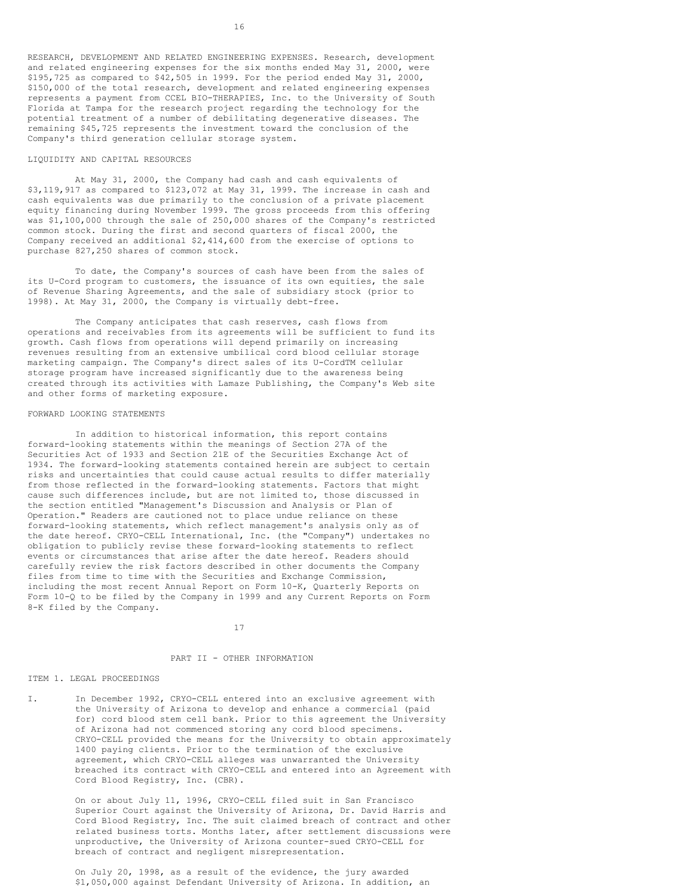RESEARCH, DEVELOPMENT AND RELATED ENGINEERING EXPENSES. Research, development and related engineering expenses for the six months ended May 31, 2000, were \$195,725 as compared to \$42,505 in 1999. For the period ended May 31, 2000, \$150,000 of the total research, development and related engineering expenses represents a payment from CCEL BIO-THERAPIES, Inc. to the University of South Florida at Tampa for the research project regarding the technology for the potential treatment of a number of debilitating degenerative diseases. The remaining \$45,725 represents the investment toward the conclusion of the Company's third generation cellular storage system.

# LIQUIDITY AND CAPITAL RESOURCES

At May 31, 2000, the Company had cash and cash equivalents of \$3,119,917 as compared to \$123,072 at May 31, 1999. The increase in cash and cash equivalents was due primarily to the conclusion of a private placement equity financing during November 1999. The gross proceeds from this offering was \$1,100,000 through the sale of 250,000 shares of the Company's restricted common stock. During the first and second quarters of fiscal 2000, the Company received an additional \$2,414,600 from the exercise of options to purchase 827,250 shares of common stock.

To date, the Company's sources of cash have been from the sales of its U-Cord program to customers, the issuance of its own equities, the sale of Revenue Sharing Agreements, and the sale of subsidiary stock (prior to 1998). At May 31, 2000, the Company is virtually debt-free.

The Company anticipates that cash reserves, cash flows from operations and receivables from its agreements will be sufficient to fund its growth. Cash flows from operations will depend primarily on increasing revenues resulting from an extensive umbilical cord blood cellular storage marketing campaign. The Company's direct sales of its U-CordTM cellular storage program have increased significantly due to the awareness being created through its activities with Lamaze Publishing, the Company's Web site and other forms of marketing exposure.

#### FORWARD LOOKING STATEMENTS

In addition to historical information, this report contains forward-looking statements within the meanings of Section 27A of the Securities Act of 1933 and Section 21E of the Securities Exchange Act of 1934. The forward-looking statements contained herein are subject to certain risks and uncertainties that could cause actual results to differ materially from those reflected in the forward-looking statements. Factors that might cause such differences include, but are not limited to, those discussed in the section entitled "Management's Discussion and Analysis or Plan of Operation." Readers are cautioned not to place undue reliance on these forward-looking statements, which reflect management's analysis only as of the date hereof. CRYO-CELL International, Inc. (the "Company") undertakes no obligation to publicly revise these forward-looking statements to reflect events or circumstances that arise after the date hereof. Readers should carefully review the risk factors described in other documents the Company files from time to time with the Securities and Exchange Commission, including the most recent Annual Report on Form 10-K, Quarterly Reports on Form 10-Q to be filed by the Company in 1999 and any Current Reports on Form 8-K filed by the Company.

17

# PART II - OTHER INFORMATION

#### ITEM 1. LEGAL PROCEEDINGS

I. In December 1992, CRYO-CELL entered into an exclusive agreement with the University of Arizona to develop and enhance a commercial (paid for) cord blood stem cell bank. Prior to this agreement the University of Arizona had not commenced storing any cord blood specimens. CRYO-CELL provided the means for the University to obtain approximately 1400 paying clients. Prior to the termination of the exclusive agreement, which CRYO-CELL alleges was unwarranted the University breached its contract with CRYO-CELL and entered into an Agreement with Cord Blood Registry, Inc. (CBR).

> On or about July 11, 1996, CRYO-CELL filed suit in San Francisco Superior Court against the University of Arizona, Dr. David Harris and Cord Blood Registry, Inc. The suit claimed breach of contract and other related business torts. Months later, after settlement discussions were unproductive, the University of Arizona counter-sued CRYO-CELL for breach of contract and negligent misrepresentation.

On July 20, 1998, as a result of the evidence, the jury awarded \$1,050,000 against Defendant University of Arizona. In addition, an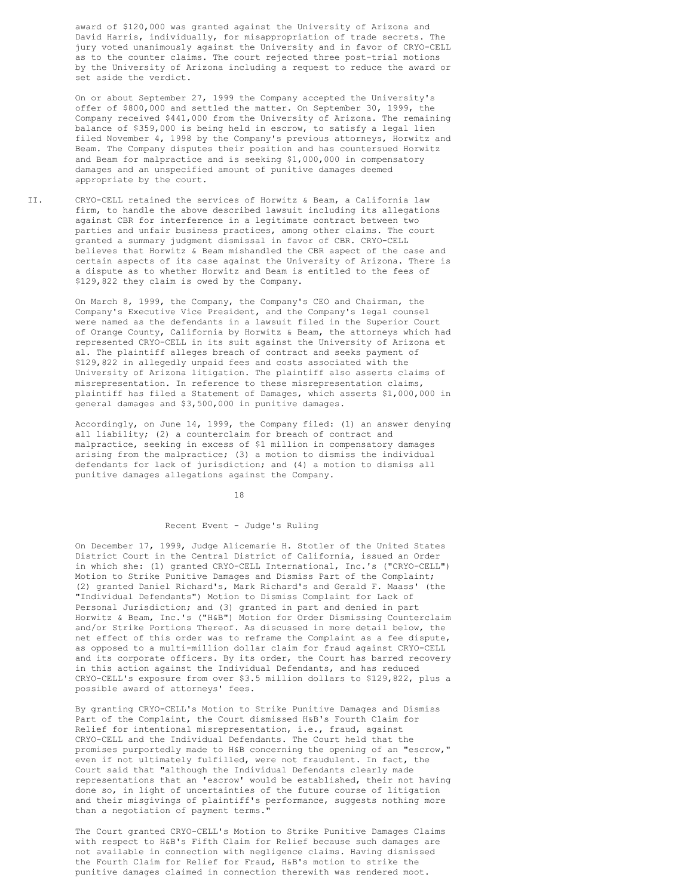award of \$120,000 was granted against the University of Arizona and David Harris, individually, for misappropriation of trade secrets. The jury voted unanimously against the University and in favor of CRYO-CELL as to the counter claims. The court rejected three post-trial motions by the University of Arizona including a request to reduce the award or set aside the verdict.

On or about September 27, 1999 the Company accepted the University's offer of \$800,000 and settled the matter. On September 30, 1999, the Company received \$441,000 from the University of Arizona. The remaining balance of \$359,000 is being held in escrow, to satisfy a legal lien filed November 4, 1998 by the Company's previous attorneys, Horwitz and Beam. The Company disputes their position and has countersued Horwitz and Beam for malpractice and is seeking \$1,000,000 in compensatory damages and an unspecified amount of punitive damages deemed appropriate by the court.

II. CRYO-CELL retained the services of Horwitz & Beam, a California law firm, to handle the above described lawsuit including its allegations against CBR for interference in a legitimate contract between two parties and unfair business practices, among other claims. The court granted a summary judgment dismissal in favor of CBR. CRYO-CELL believes that Horwitz & Beam mishandled the CBR aspect of the case and certain aspects of its case against the University of Arizona. There is a dispute as to whether Horwitz and Beam is entitled to the fees of \$129,822 they claim is owed by the Company.

> On March 8, 1999, the Company, the Company's CEO and Chairman, the Company's Executive Vice President, and the Company's legal counsel were named as the defendants in a lawsuit filed in the Superior Court of Orange County, California by Horwitz & Beam, the attorneys which had represented CRYO-CELL in its suit against the University of Arizona et al. The plaintiff alleges breach of contract and seeks payment of \$129,822 in allegedly unpaid fees and costs associated with the University of Arizona litigation. The plaintiff also asserts claims of misrepresentation. In reference to these misrepresentation claims, plaintiff has filed a Statement of Damages, which asserts \$1,000,000 in general damages and \$3,500,000 in punitive damages.

> Accordingly, on June 14, 1999, the Company filed: (1) an answer denying all liability; (2) a counterclaim for breach of contract and malpractice, seeking in excess of \$1 million in compensatory damages arising from the malpractice; (3) a motion to dismiss the individual defendants for lack of jurisdiction; and (4) a motion to dismiss all punitive damages allegations against the Company.

> > 18

# Recent Event - Judge's Ruling

On December 17, 1999, Judge Alicemarie H. Stotler of the United States District Court in the Central District of California, issued an Order in which she: (1) granted CRYO-CELL International, Inc.'s ("CRYO-CELL") Motion to Strike Punitive Damages and Dismiss Part of the Complaint; (2) granted Daniel Richard's, Mark Richard's and Gerald F. Maass' (the "Individual Defendants") Motion to Dismiss Complaint for Lack of Personal Jurisdiction; and (3) granted in part and denied in part Horwitz & Beam, Inc.'s ("H&B") Motion for Order Dismissing Counterclaim and/or Strike Portions Thereof. As discussed in more detail below, the net effect of this order was to reframe the Complaint as a fee dispute, as opposed to a multi-million dollar claim for fraud against CRYO-CELL and its corporate officers. By its order, the Court has barred recovery in this action against the Individual Defendants, and has reduced CRYO-CELL's exposure from over \$3.5 million dollars to \$129,822, plus a possible award of attorneys' fees.

By granting CRYO-CELL's Motion to Strike Punitive Damages and Dismiss Part of the Complaint, the Court dismissed H&B's Fourth Claim for Relief for intentional misrepresentation, i.e., fraud, against CRYO-CELL and the Individual Defendants. The Court held that the promises purportedly made to H&B concerning the opening of an "escrow," even if not ultimately fulfilled, were not fraudulent. In fact, the Court said that "although the Individual Defendants clearly made representations that an 'escrow' would be established, their not having done so, in light of uncertainties of the future course of litigation and their misgivings of plaintiff's performance, suggests nothing more than a negotiation of payment terms."

The Court granted CRYO-CELL's Motion to Strike Punitive Damages Claims with respect to H&B's Fifth Claim for Relief because such damages are not available in connection with negligence claims. Having dismissed the Fourth Claim for Relief for Fraud, H&B's motion to strike the punitive damages claimed in connection therewith was rendered moot.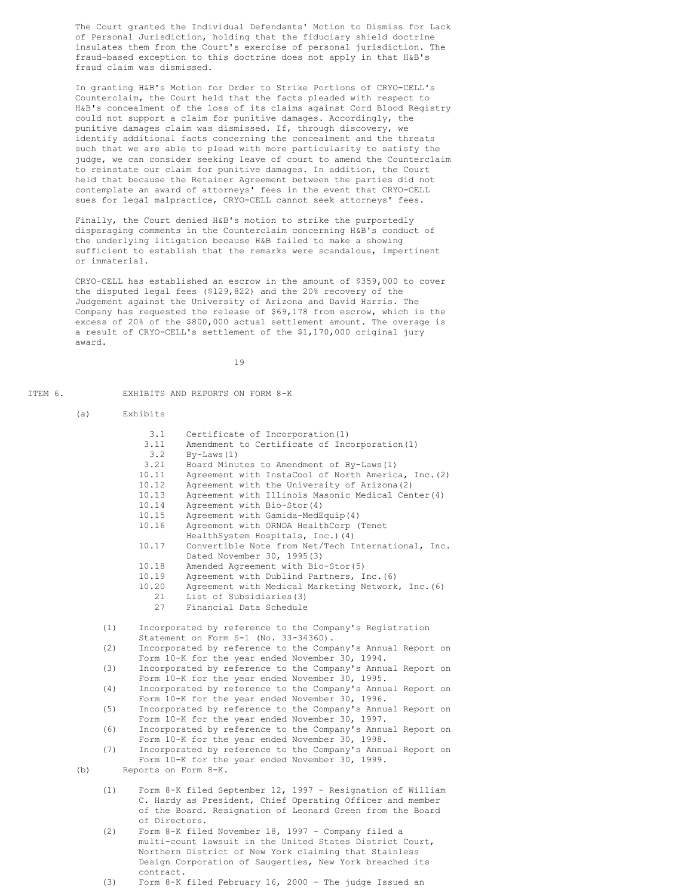The Court granted the Individual Defendants' Motion to Dismiss for Lack of Personal Jurisdiction, holding that the fiduciary shield doctrine insulates them from the Court's exercise of personal jurisdiction. The fraud-based exception to this doctrine does not apply in that H&B's fraud claim was dismissed.

In granting H&B's Motion for Order to Strike Portions of CRYO-CELL's Counterclaim, the Court held that the facts pleaded with respect to H&B's concealment of the loss of its claims against Cord Blood Registry could not support a claim for punitive damages. Accordingly, the punitive damages claim was dismissed. If, through discovery, we identify additional facts concerning the concealment and the threats such that we are able to plead with more particularity to satisfy the judge, we can consider seeking leave of court to amend the Counterclaim to reinstate our claim for punitive damages. In addition, the Court held that because the Retainer Agreement between the parties did not contemplate an award of attorneys' fees in the event that CRYO-CELL sues for legal malpractice, CRYO-CELL cannot seek attorneys' fees.

Finally, the Court denied H&B's motion to strike the purportedly disparaging comments in the Counterclaim concerning H&B's conduct of the underlying litigation because H&B failed to make a showing sufficient to establish that the remarks were scandalous, impertinent or immaterial.

CRYO-CELL has established an escrow in the amount of \$359,000 to cover the disputed legal fees (\$129,822) and the 20% recovery of the Judgement against the University of Arizona and David Harris. The Company has requested the release of \$69,178 from escrow, which is the excess of 20% of the \$800,000 actual settlement amount. The overage is a result of CRYO-CELL's settlement of the \$1,170,000 original jury award.

19

#### ITEM 6. EXHIBITS AND REPORTS ON FORM 8-K

- (a) Exhibits 3.1 Certificate of Incorporation(1) 3.11 Amendment to Certificate of Incorporation(1)<br>3.2 By-Laws(1) 3.2 By-Laws(1)<br>3.21 Board Minu Board Minutes to Amendment of By-Laws(1) 10.11 Agreement with InstaCool of North America, Inc.(2)<br>10.12 Agreement with the University of Arizona(2) Agreement with the University of Arizona (2) 10.13 Agreement with Illinois Masonic Medical Center(4)<br>10.14 Agreement with Bio-Stor(4) Agreement with Bio-Stor(4) 10.15 Agreement with Gamida-MedEquip(4) 10.16 Agreement with ORNDA HealthCorp (Tenet HealthSystem Hospitals, Inc.)(4) 10.17 Convertible Note from Net/Tech International, Inc. Dated November 30, 1995(3) 10.18 Amended Agreement with Bio-Stor(5)<br>10.19 Agreement with Dublind Partners, T Agreement with Dublind Partners, Inc. (6) 10.20 Agreement with Medical Marketing Network, Inc.(6) 21 List of Subsidiaries(3)<br>27 Financial Data Schedule Financial Data Schedule (1) Incorporated by reference to the Company's Registration Statement on Form S-1 (No. 33-34360). (2) Incorporated by reference to the Company's Annual Report on Form 10-K for the year ended November 30, 1994. (3) Incorporated by reference to the Company's Annual Report on Form 10-K for the year ended November 30, 1995. (4) Incorporated by reference to the Company's Annual Report on Form 10-K for the year ended November 30, 1996. (5) Incorporated by reference to the Company's Annual Report on Form 10-K for the year ended November 30, 1997. (6) Incorporated by reference to the Company's Annual Report on Form 10-K for the year ended November 30, 1998. (7) Incorporated by reference to the Company's Annual Report on Form 10-K for the year ended November 30, 1999. (b) Reports on Form 8-K. (1) Form 8-K filed September 12, 1997 - Resignation of William C. Hardy as President, Chief Operating Officer and member of the Board. Resignation of Leonard Green from the Board of Directors. (2) Form 8-K filed November 18, 1997 - Company filed a multi-count lawsuit in the United States District Court, Northern District of New York claiming that Stainless
	- contract. (3) Form 8-K filed February 16, 2000 - The judge Issued an

Design Corporation of Saugerties, New York breached its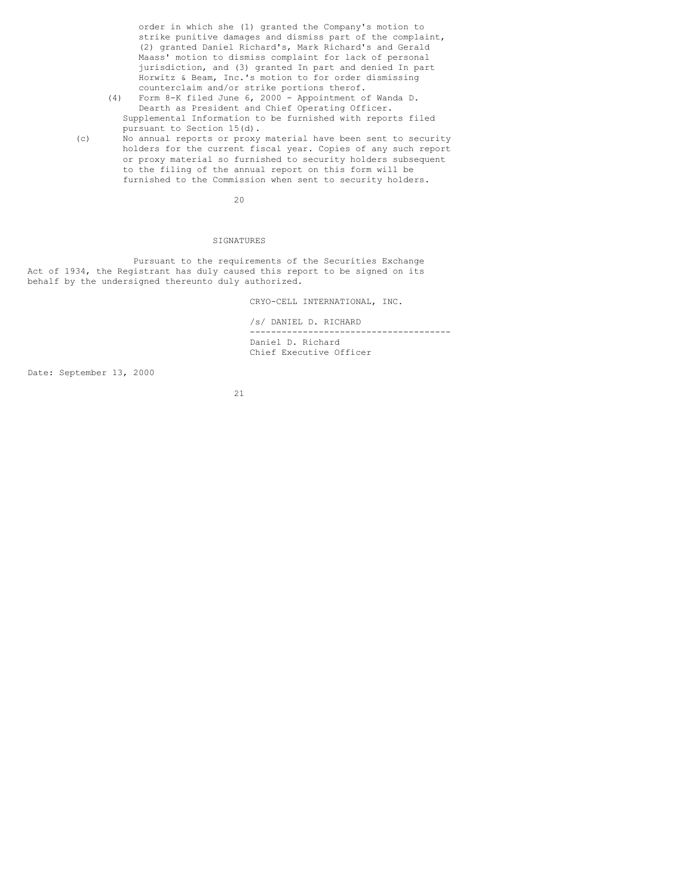order in which she (1) granted the Company's motion to strike punitive damages and dismiss part of the complaint, (2) granted Daniel Richard's, Mark Richard's and Gerald Maass' motion to dismiss complaint for lack of personal jurisdiction, and (3) granted In part and denied In part Horwitz & Beam, Inc.'s motion to for order dismissing counterclaim and/or strike portions therof.

- (4) Form 8-K filed June 6, 2000 Appointment of Wanda D. Dearth as President and Chief Operating Officer. Supplemental Information to be furnished with reports filed pursuant to Section 15(d).
- (c) No annual reports or proxy material have been sent to security holders for the current fiscal year. Copies of any such report or proxy material so furnished to security holders subsequent to the filing of the annual report on this form will be furnished to the Commission when sent to security holders.

20

# **SIGNATURES**

Pursuant to the requirements of the Securities Exchange Act of 1934, the Registrant has duly caused this report to be signed on its behalf by the undersigned thereunto duly authorized.

CRYO-CELL INTERNATIONAL, INC.

/s/ DANIEL D. RICHARD -------------------------------------- Daniel D. Richard Chief Executive Officer

Date: September 13, 2000

21